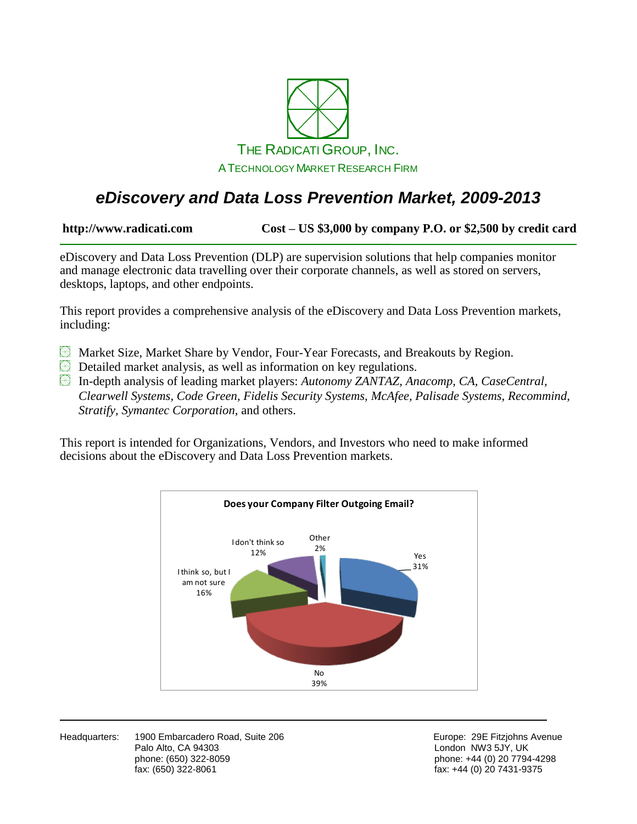

## *eDiscovery and Data Loss Prevention Market, 2009-2013*

**http://www.radicati.com Cost – US \$3,000 by company P.O. or \$2,500 by credit card**

eDiscovery and Data Loss Prevention (DLP) are supervision solutions that help companies monitor and manage electronic data travelling over their corporate channels, as well as stored on servers, desktops, laptops, and other endpoints.

This report provides a comprehensive analysis of the eDiscovery and Data Loss Prevention markets, including:

- **E** Market Size, Market Share by Vendor, Four-Year Forecasts, and Breakouts by Region.
- **EX** Detailed market analysis, as well as information on key regulations.

In-depth analysis of leading market players: *Autonomy ZANTAZ, Anacomp, CA, CaseCentral, Clearwell Systems, Code Green, Fidelis Security Systems, McAfee, Palisade Systems, Recommind, Stratify, Symantec Corporation,* and others.

This report is intended for Organizations, Vendors, and Investors who need to make informed decisions about the eDiscovery and Data Loss Prevention markets.



Headquarters: 1900 Embarcadero Road, Suite 206 **Europe: 29 Europe: 29E Fitzjohns Avenue** Palo Alto, CA 94303 **Discretion CA 1988** London NW3 5JY, UK phone: (650) 322-8059 phone: +44 (0) 20 7794-4298 fax: (650) 322-8061 fax: +44 (0) 20 7431-9375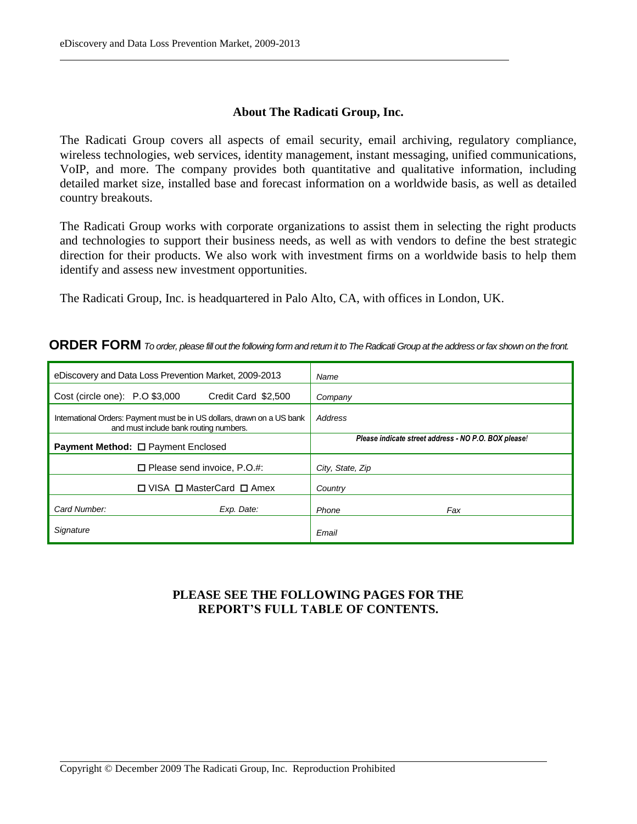#### **About The Radicati Group, Inc.**

The Radicati Group covers all aspects of email security, email archiving, regulatory compliance, wireless technologies, web services, identity management, instant messaging, unified communications, VoIP, and more. The company provides both quantitative and qualitative information, including detailed market size, installed base and forecast information on a worldwide basis, as well as detailed country breakouts.

The Radicati Group works with corporate organizations to assist them in selecting the right products and technologies to support their business needs, as well as with vendors to define the best strategic direction for their products. We also work with investment firms on a worldwide basis to help them identify and assess new investment opportunities.

The Radicati Group, Inc. is headquartered in Palo Alto, CA, with offices in London, UK.

#### **ORDER FORM** *To order, please fill out the following form and return it to The Radicati Group at the address or fax shown on the front.*

| eDiscovery and Data Loss Prevention Market, 2009-2013                                                             |                     | Name                                                 |
|-------------------------------------------------------------------------------------------------------------------|---------------------|------------------------------------------------------|
| Cost (circle one): P.O \$3,000                                                                                    | Credit Card \$2,500 | Company                                              |
| International Orders: Payment must be in US dollars, drawn on a US bank<br>and must include bank routing numbers. |                     | Address                                              |
| <b>Payment Method:</b> □ Payment Enclosed                                                                         |                     | Please indicate street address - NO P.O. BOX please! |
| $\Box$ Please send invoice, P.O.#:                                                                                |                     | City, State, Zip                                     |
| $\Box$ VISA $\Box$ MasterCard $\Box$ Amex                                                                         |                     | Country                                              |
| Card Number:                                                                                                      | Exp. Date:          | Phone<br>Fax                                         |
| Signature                                                                                                         |                     | Email                                                |

### **PLEASE SEE THE FOLLOWING PAGES FOR THE REPORT'S FULL TABLE OF CONTENTS.**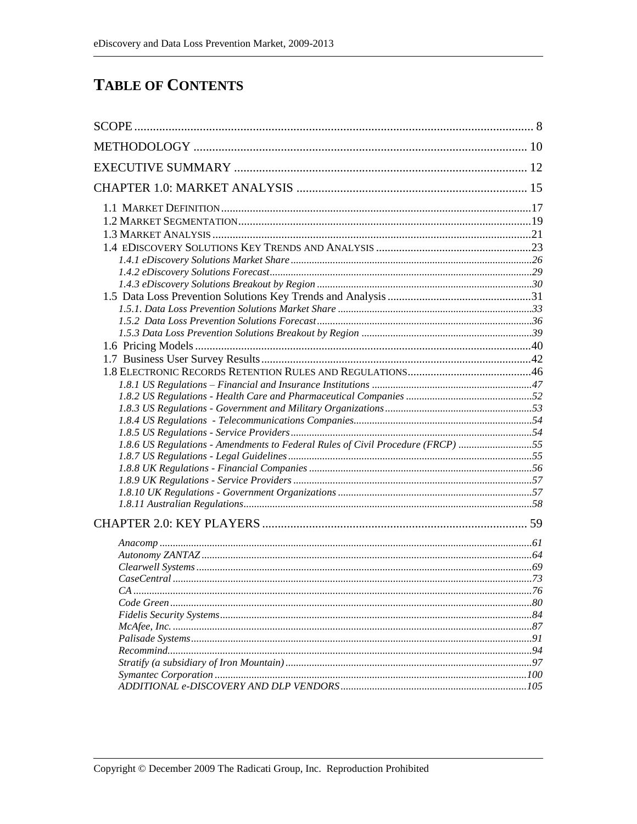### **TABLE OF CONTENTS**

| 1.8.6 US Regulations - Amendments to Federal Rules of Civil Procedure (FRCP) 55 |  |
|---------------------------------------------------------------------------------|--|
|                                                                                 |  |
|                                                                                 |  |
|                                                                                 |  |
|                                                                                 |  |
|                                                                                 |  |
|                                                                                 |  |
|                                                                                 |  |
|                                                                                 |  |
|                                                                                 |  |
|                                                                                 |  |
|                                                                                 |  |
|                                                                                 |  |
|                                                                                 |  |
|                                                                                 |  |
|                                                                                 |  |
|                                                                                 |  |
|                                                                                 |  |
|                                                                                 |  |
|                                                                                 |  |
|                                                                                 |  |
|                                                                                 |  |
|                                                                                 |  |
|                                                                                 |  |
|                                                                                 |  |
|                                                                                 |  |
|                                                                                 |  |
|                                                                                 |  |
|                                                                                 |  |
|                                                                                 |  |
|                                                                                 |  |
|                                                                                 |  |
|                                                                                 |  |
|                                                                                 |  |
|                                                                                 |  |
|                                                                                 |  |
|                                                                                 |  |
|                                                                                 |  |
|                                                                                 |  |
|                                                                                 |  |
|                                                                                 |  |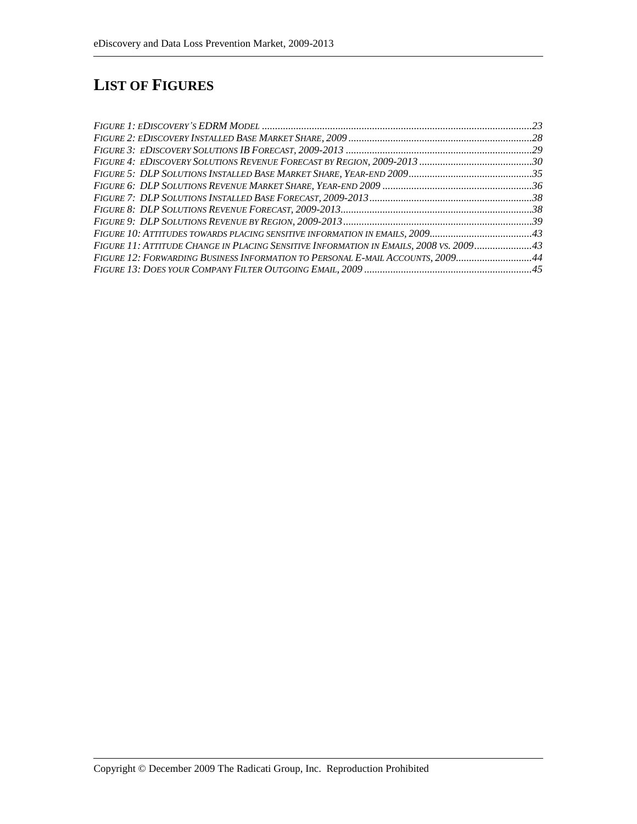# **LIST OF FIGURES**

| FIGURE 10: ATTITUDES TOWARDS PLACING SENSITIVE INFORMATION IN EMAILS, 200943           |  |
|----------------------------------------------------------------------------------------|--|
| FIGURE 11: ATTITUDE CHANGE IN PLACING SENSITIVE INFORMATION IN EMAILS, 2008 VS. 200943 |  |
| FIGURE 12: FORWARDING BUSINESS INFORMATION TO PERSONAL E-MAIL ACCOUNTS, 200944         |  |
|                                                                                        |  |